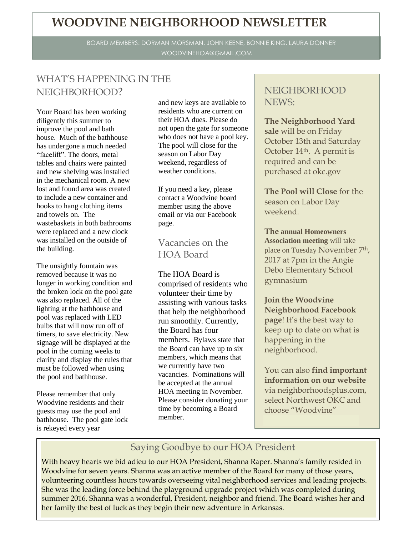# **WOODVINE NEIGHBORHOOD NEWSLETTER**

BOARD MEMBERS: DORMAN MORSMAN, JOHN KEENE, BONNIE KING, LAURA DONNER WOODVINEHOA@GMAIL.COM

### WHAT'S HAPPENING IN THE NEIGHBORHOOD?

Your Board has been working diligently this summer to improve the pool and bath house. Much of the bathhouse has undergone a much needed "facelift". The doors, metal tables and chairs were painted and new shelving was installed in the mechanical room. A new lost and found area was created to include a new container and hooks to hang clothing items and towels on. The wastebaskets in both bathrooms were replaced and a new clock was installed on the outside of the building.

The unsightly fountain was removed because it was no longer in working condition and the broken lock on the pool gate was also replaced. All of the lighting at the bathhouse and pool was replaced with LED bulbs that will now run off of timers, to save electricity. New signage will be displayed at the pool in the coming weeks to clarify and display the rules that must be followed when using the pool and bathhouse.

Please remember that only Woodvine residents and their guests may use the pool and bathhouse. The pool gate lock is rekeyed every year

and new keys are available to residents who are current on their HOA dues. Please do not open the gate for someone who does not have a pool key. The pool will close for the season on Labor Day weekend, regardless of weather conditions.

If you need a key, please contact a Woodvine board member using the above email or via our Facebook page.

#### Vacancies on the HOA Board

The HOA Board is comprised of residents who volunteer their time by assisting with various tasks that help the neighborhood run smoothly. Currently, the Board has four members. Bylaws state that the Board can have up to six members, which means that we currently have two vacancies. Nominations will be accepted at the annual HOA meeting in November. Please consider donating your time by becoming a Board member.

#### NEIGHBORHOOD NEWS:

**The Neighborhood Yard sale** will be on Friday October 13th and Saturday October 14th. A permit is required and can be purchased at okc.gov

**The Pool will Close** for the season on Labor Day weekend.

**The annual Homeowners Association meeting** will take place on Tuesday November 7th, 2017 at 7pm in the Angie Debo Elementary School gymnasium

**Join the Woodvine Neighborhood Facebook page**! It's the best way to keep up to date on what is happening in the neighborhood.

You can also **find important information on our website** via neighborhoodsplus.com, select Northwest OKC and choose "Woodvine"

#### Saying Goodbye to our HOA President

With heavy hearts we bid adieu to our HOA President, Shanna Raper. Shanna's family resided in Woodvine for seven years. Shanna was an active member of the Board for many of those years, volunteering countless hours towards overseeing vital neighborhood services and leading projects. She was the leading force behind the playground upgrade project which was completed during summer 2016. Shanna was a wonderful, President, neighbor and friend. The Board wishes her and her family the best of luck as they begin their new adventure in Arkansas.